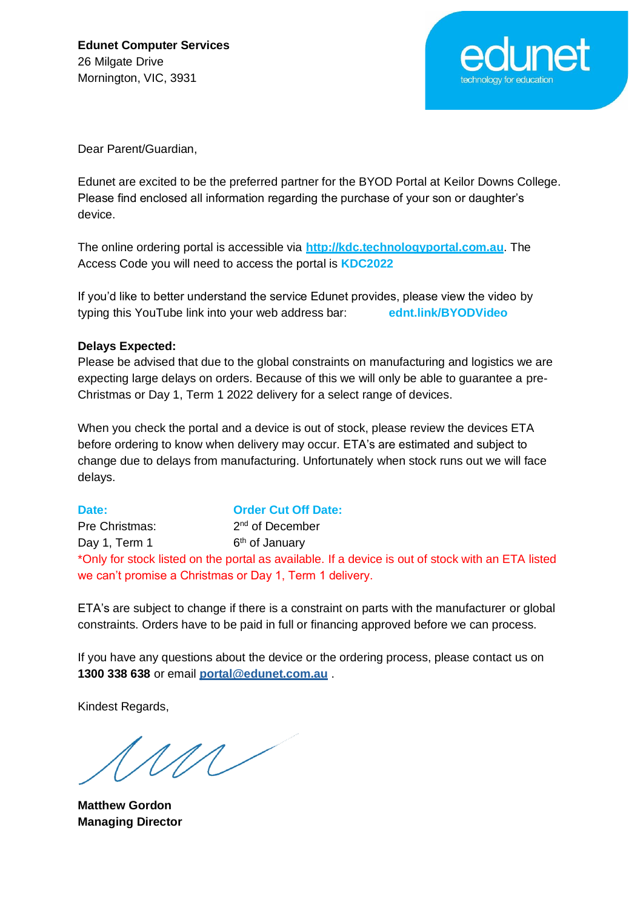

Dear Parent/Guardian,

Edunet are excited to be the preferred partner for the BYOD Portal at Keilor Downs College. Please find enclosed all information regarding the purchase of your son or daughter's device.

The online ordering portal is accessible via **http://kdc.technologyportal.com.au**. The Access Code you will need to access the portal is **KDC2022**

If you'd like to better understand the service Edunet provides, please view the video by typing this YouTube link into your web address bar: **ednt.link/BYODVideo**

#### **Delays Expected:**

Please be advised that due to the global constraints on manufacturing and logistics we are expecting large delays on orders. Because of this we will only be able to guarantee a pre-Christmas or Day 1, Term 1 2022 delivery for a select range of devices.

When you check the portal and a device is out of stock, please review the devices ETA before ordering to know when delivery may occur. ETA's are estimated and subject to change due to delays from manufacturing. Unfortunately when stock runs out we will face delays.

**Date: Order Cut Off Date:** Pre Christmas: 2<sup>nd</sup> of December Day 1, Term 1  $6<sup>th</sup>$  of January \*Only for stock listed on the portal as available. If a device is out of stock with an ETA listed we can't promise a Christmas or Day 1, Term 1 delivery.

ETA's are subject to change if there is a constraint on parts with the manufacturer or global constraints. Orders have to be paid in full or financing approved before we can process.

If you have any questions about the device or the ordering process, please contact us on **1300 338 638** or email **[portal@edunet.com.au](mailto:portal@edunet.com.au)** .

Kindest Regards,

 $MN$ 

**Matthew Gordon Managing Director**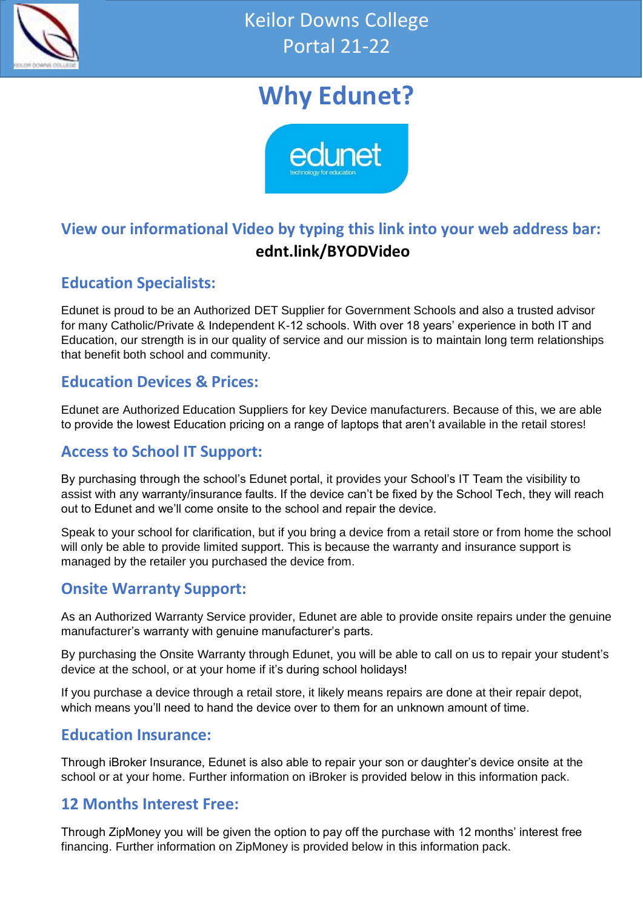

# **Why Edunet?**



# **View our informational Video by typing this link into your web address bar: ednt.link/BYODVideo**

# **Education Specialists:**

Edunet is proud to be an Authorized DET Supplier for Government Schools and also a trusted advisor for many Catholic/Private & Independent K-12 schools. With over 18 years' experience in both IT and Education, our strength is in our quality of service and our mission is to maintain long term relationships that benefit both school and community.

# **Education Devices & Prices:**

Edunet are Authorized Education Suppliers for key Device manufacturers. Because of this, we are able to provide the lowest Education pricing on a range of laptops that aren't available in the retail stores!

# **Access to School IT Support:**

By purchasing through the school's Edunet portal, it provides your School's IT Team the visibility to assist with any warranty/insurance faults. If the device can't be fixed by the School Tech, they will reach out to Edunet and we'll come onsite to the school and repair the device.

Speak to your school for clarification, but if you bring a device from a retail store or from home the school will only be able to provide limited support. This is because the warranty and insurance support is managed by the retailer you purchased the device from.

# **Onsite Warranty Support:**

As an Authorized Warranty Service provider, Edunet are able to provide onsite repairs under the genuine manufacturer's warranty with genuine manufacturer's parts.

By purchasing the Onsite Warranty through Edunet, you will be able to call on us to repair your student's device at the school, or at your home if it's during school holidays!

If you purchase a device through a retail store, it likely means repairs are done at their repair depot, which means you'll need to hand the device over to them for an unknown amount of time.

# **Education Insurance:**

Through iBroker Insurance, Edunet is also able to repair your son or daughter's device onsite at the school or at your home. Further information on iBroker is provided below in this information pack.

# **12 Months Interest Free:**

Through ZipMoney you will be given the option to pay off the purchase with 12 months' interest free financing. Further information on ZipMoney is provided below in this information pack.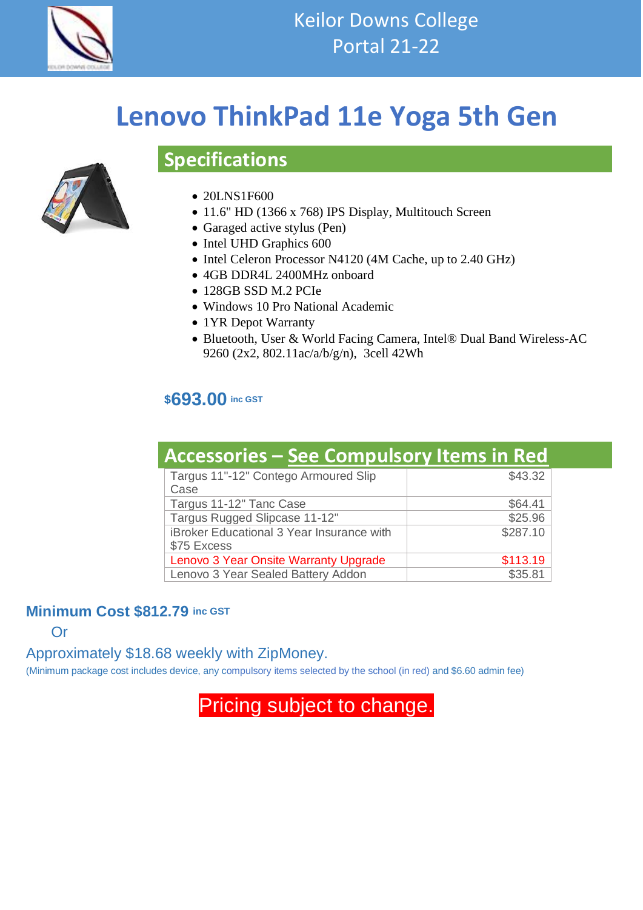

# **Lenovo ThinkPad 11e Yoga 5th Gen**



# **Specifications**

- 20LNS1F600
- 11.6" HD (1366 x 768) IPS Display, Multitouch Screen
- Garaged active stylus (Pen)
- Intel UHD Graphics 600
- Intel Celeron Processor N4120 (4M Cache, up to 2.40 GHz)
- 4GB DDR4L 2400MHz onboard
- 128GB SSD M.2 PCIe
- Windows 10 Pro National Academic
- 1YR Depot Warranty
- Bluetooth, User & World Facing Camera, Intel® Dual Band Wireless-AC 9260 (2x2, 802.11ac/a/b/g/n), 3cell 42Wh

#### **\$693.00 inc GST**

| <b>Accessories - See Compulsory Items in Red</b>         |          |
|----------------------------------------------------------|----------|
| Targus 11"-12" Contego Armoured Slip<br>Case             | \$43.32  |
| Targus 11-12" Tanc Case                                  | \$64.41  |
| Targus Rugged Slipcase 11-12"                            | \$25.96  |
| iBroker Educational 3 Year Insurance with<br>\$75 Excess | \$287.10 |
| Lenovo 3 Year Onsite Warranty Upgrade                    | \$113.19 |
| Lenovo 3 Year Sealed Battery Addon                       | \$35.81  |

#### **Minimum Cost \$812.79 inc GST**

Or

# Approximately \$18.68 weekly with ZipMoney.

(Minimum package cost includes device, any compulsory items selected by the school (in red) and \$6.60 admin fee)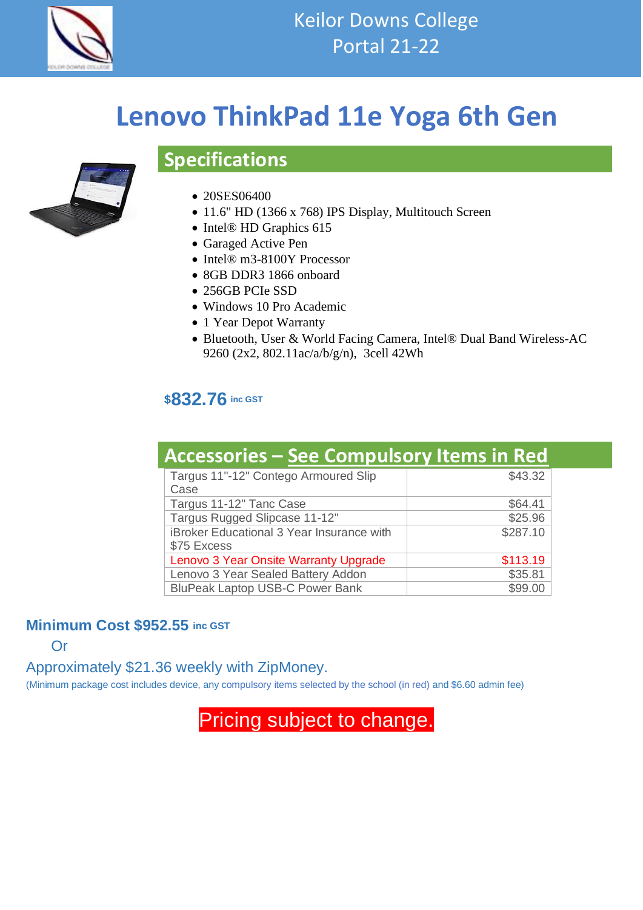

# **Lenovo ThinkPad 11e Yoga 6th Gen**



# **Specifications**

- 20SES06400
- 11.6" HD (1366 x 768) IPS Display, Multitouch Screen
- Intel® HD Graphics 615
- Garaged Active Pen
- Intel® m3-8100Y Processor
- 8GB DDR3 1866 onboard
- 256GB PCIe SSD
- Windows 10 Pro Academic
- 1 Year Depot Warranty
- Bluetooth, User & World Facing Camera, Intel® Dual Band Wireless-AC 9260 (2x2, 802.11ac/a/b/g/n), 3cell 42Wh

### **\$832.76 inc GST**

| <b>Accessories – See Compulsory Items in Red</b>         |          |
|----------------------------------------------------------|----------|
| Targus 11"-12" Contego Armoured Slip<br>Case             | \$43.32  |
| Targus 11-12" Tanc Case                                  | \$64.41  |
| Targus Rugged Slipcase 11-12"                            | \$25.96  |
| iBroker Educational 3 Year Insurance with<br>\$75 Excess | \$287.10 |
| Lenovo 3 Year Onsite Warranty Upgrade                    | \$113.19 |
| Lenovo 3 Year Sealed Battery Addon                       | \$35.81  |
| <b>BluPeak Laptop USB-C Power Bank</b>                   | \$99.00  |

#### **Minimum Cost \$952.55 inc GST**

Or

Approximately \$21.36 weekly with ZipMoney.

(Minimum package cost includes device, any compulsory items selected by the school (in red) and \$6.60 admin fee)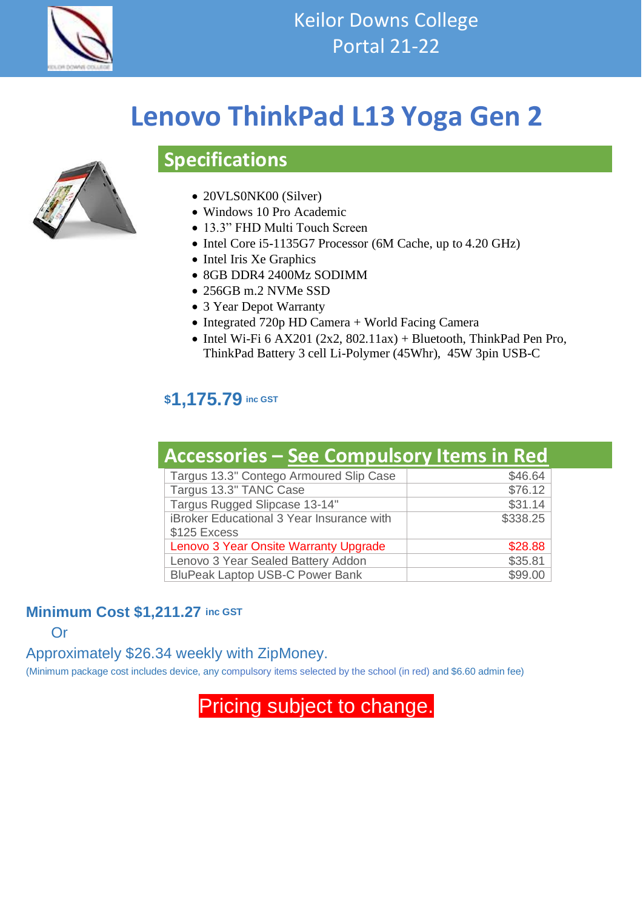

# **Lenovo ThinkPad L13 Yoga Gen 2**



**Specifications**

- 20VLS0NK00 (Silver)
- Windows 10 Pro Academic
- 13.3" FHD Multi Touch Screen
- Intel Core i5-1135G7 Processor (6M Cache, up to 4.20 GHz)
- Intel Iris Xe Graphics
- 8GB DDR4 2400Mz SODIMM
- 256GB m.2 NVMe SSD
- 3 Year Depot Warranty
- Integrated 720p HD Camera + World Facing Camera
- Intel Wi-Fi  $6$  AX201 (2x2, 802.11ax) + Bluetooth, ThinkPad Pen Pro, ThinkPad Battery 3 cell Li-Polymer (45Whr), 45W 3pin USB-C

# **\$1,175.79 inc GST**

| <b>Accessories – See Compulsory Items in Red</b> |          |
|--------------------------------------------------|----------|
| Targus 13.3" Contego Armoured Slip Case          | \$46.64  |
| Targus 13.3" TANC Case                           | \$76.12  |
| Targus Rugged Slipcase 13-14"                    | \$31.14  |
| iBroker Educational 3 Year Insurance with        | \$338.25 |
| \$125 Excess                                     |          |
| Lenovo 3 Year Onsite Warranty Upgrade            | \$28.88  |
| Lenovo 3 Year Sealed Battery Addon               | \$35.81  |
| <b>BluPeak Laptop USB-C Power Bank</b>           | \$99.00  |

# **Minimum Cost \$1,211.27 inc GST**

Or

#### Approximately \$26.34 weekly with ZipMoney.

(Minimum package cost includes device, any compulsory items selected by the school (in red) and \$6.60 admin fee)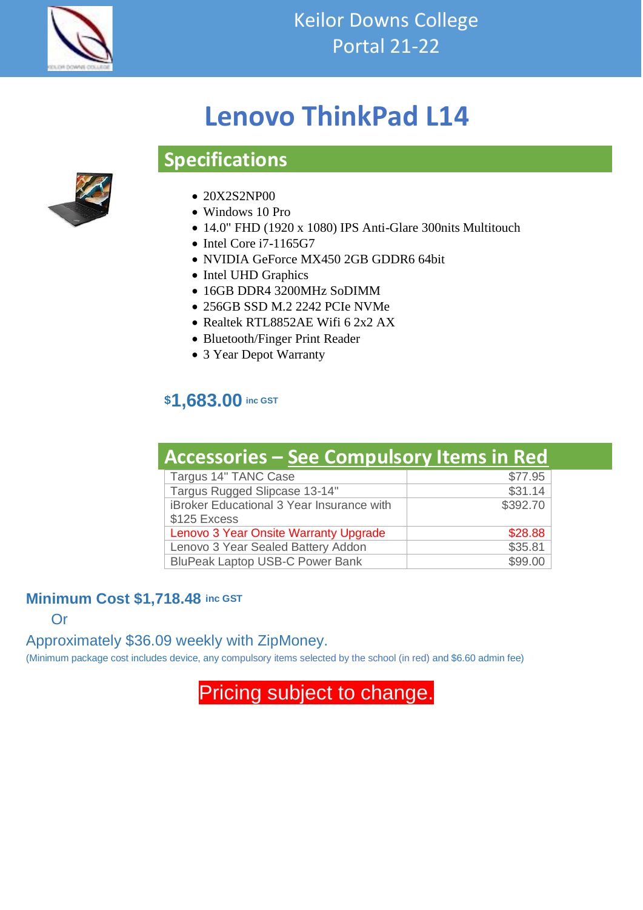

# **Lenovo ThinkPad L14**



# **Specifications**

- 20X2S2NP00
- Windows 10 Pro
- 14.0" FHD (1920 x 1080) IPS Anti-Glare 300nits Multitouch
- Intel Core i7-1165G7
- NVIDIA GeForce MX450 2GB GDDR6 64bit
- Intel UHD Graphics
- 16GB DDR4 3200MHz SoDIMM
- 256GB SSD M.2 2242 PCIe NVMe
- Realtek RTL8852AE Wifi 6 2x2 AX
- Bluetooth/Finger Print Reader
- 3 Year Depot Warranty

# **\$1,683.00 inc GST**

| Accessories – See Compulsory Items in Red |          |  |
|-------------------------------------------|----------|--|
| Targus 14" TANC Case                      | \$77.95  |  |
| Targus Rugged Slipcase 13-14"             | \$31.14  |  |
| iBroker Educational 3 Year Insurance with | \$392.70 |  |
| \$125 Excess                              |          |  |
| Lenovo 3 Year Onsite Warranty Upgrade     | \$28.88  |  |
| Lenovo 3 Year Sealed Battery Addon        | \$35.81  |  |
| <b>BluPeak Laptop USB-C Power Bank</b>    | \$99.00  |  |

#### **Minimum Cost \$1,718.48 inc GST**

Or

Approximately \$36.09 weekly with ZipMoney.

(Minimum package cost includes device, any compulsory items selected by the school (in red) and \$6.60 admin fee)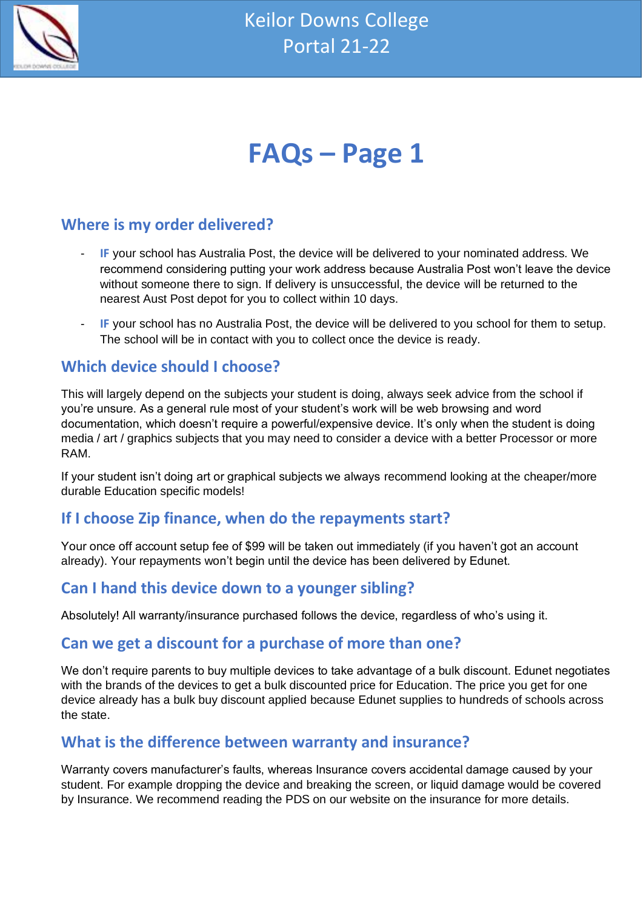

# **FAQs – Page 1**

# **Where is my order delivered?**

- **IF** your school has Australia Post, the device will be delivered to your nominated address. We recommend considering putting your work address because Australia Post won't leave the device without someone there to sign. If delivery is unsuccessful, the device will be returned to the nearest Aust Post depot for you to collect within 10 days.
- **IF** your school has no Australia Post, the device will be delivered to you school for them to setup. The school will be in contact with you to collect once the device is ready.

# **Which device should I choose?**

This will largely depend on the subjects your student is doing, always seek advice from the school if you're unsure. As a general rule most of your student's work will be web browsing and word documentation, which doesn't require a powerful/expensive device. It's only when the student is doing media / art / graphics subjects that you may need to consider a device with a better Processor or more RAM.

If your student isn't doing art or graphical subjects we always recommend looking at the cheaper/more durable Education specific models!

# **If I choose Zip finance, when do the repayments start?**

Your once off account setup fee of \$99 will be taken out immediately (if you haven't got an account already). Your repayments won't begin until the device has been delivered by Edunet.

# **Can I hand this device down to a younger sibling?**

Absolutely! All warranty/insurance purchased follows the device, regardless of who's using it.

# **Can we get a discount for a purchase of more than one?**

We don't require parents to buy multiple devices to take advantage of a bulk discount. Edunet negotiates with the brands of the devices to get a bulk discounted price for Education. The price you get for one device already has a bulk buy discount applied because Edunet supplies to hundreds of schools across the state.

# **What is the difference between warranty and insurance?**

Warranty covers manufacturer's faults, whereas Insurance covers accidental damage caused by your student. For example dropping the device and breaking the screen, or liquid damage would be covered by Insurance. We recommend reading the PDS on our website on the insurance for more details.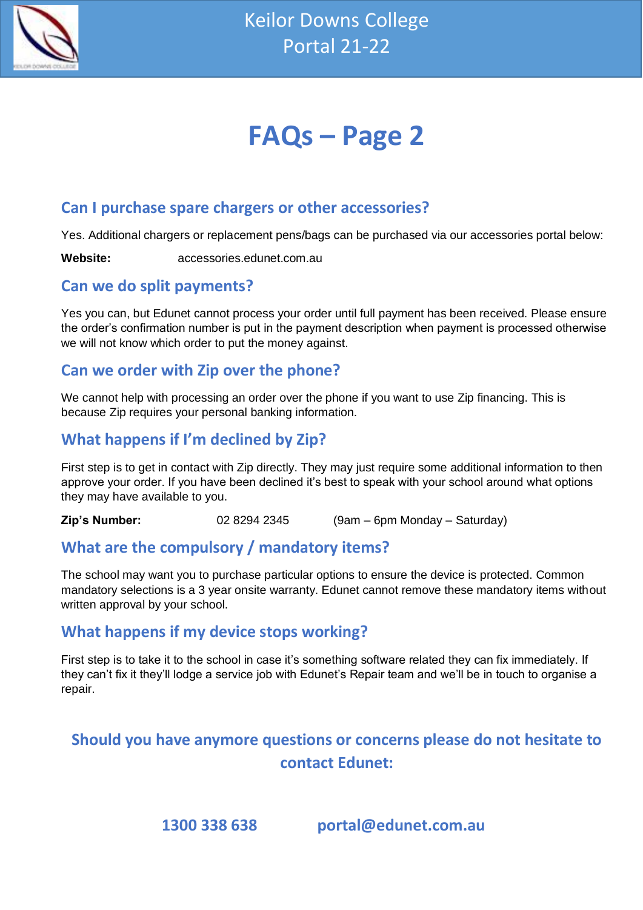

# **FAQs – Page 2**

# **Can I purchase spare chargers or other accessories?**

Yes. Additional chargers or replacement pens/bags can be purchased via our accessories portal below:

**Website:** accessories.edunet.com.au

# **Can we do split payments?**

Yes you can, but Edunet cannot process your order until full payment has been received. Please ensure the order's confirmation number is put in the payment description when payment is processed otherwise we will not know which order to put the money against.

### **Can we order with Zip over the phone?**

We cannot help with processing an order over the phone if you want to use Zip financing. This is because Zip requires your personal banking information.

# **What happens if I'm declined by Zip?**

First step is to get in contact with Zip directly. They may just require some additional information to then approve your order. If you have been declined it's best to speak with your school around what options they may have available to you.

**Zip's Number:** 02 8294 2345 (9am – 6pm Monday – Saturday)

# **What are the compulsory / mandatory items?**

The school may want you to purchase particular options to ensure the device is protected. Common mandatory selections is a 3 year onsite warranty. Edunet cannot remove these mandatory items without written approval by your school.

# **What happens if my device stops working?**

First step is to take it to the school in case it's something software related they can fix immediately. If they can't fix it they'll lodge a service job with Edunet's Repair team and we'll be in touch to organise a repair.

# **Should you have anymore questions or concerns please do not hesitate to contact Edunet:**

**1300 338 638 portal@edunet.com.au**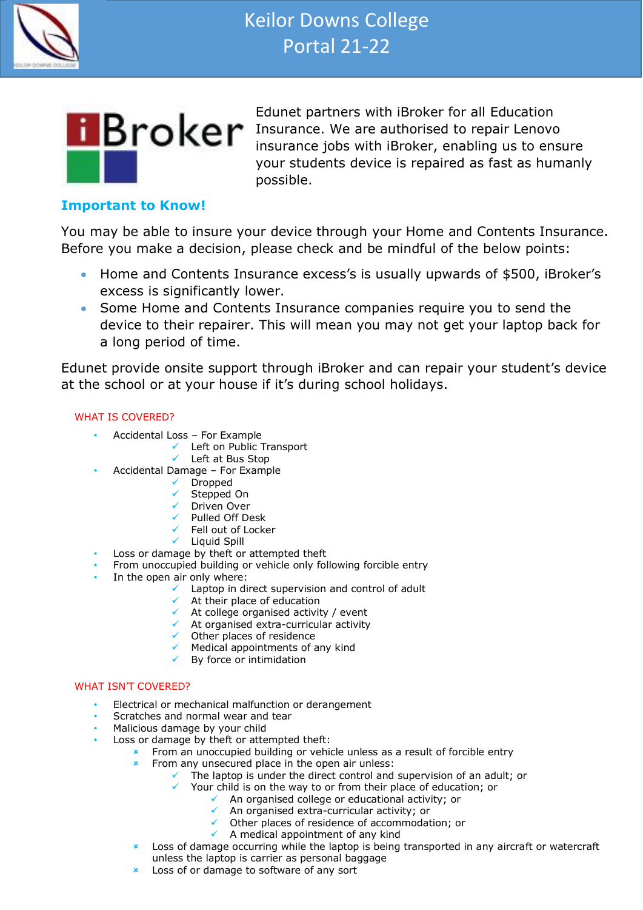



Edunet partners with iBroker for all Education **Broker** Insurance. We are authorised to repair Lenovo insurance jobs with iBroker, enabling us to ensure your students device is repaired as fast as humanly possible.

#### **Important to Know!**

You may be able to insure your device through your Home and Contents Insurance. Before you make a decision, please check and be mindful of the below points:

- Home and Contents Insurance excess's is usually upwards of \$500, iBroker's excess is significantly lower.
- Some Home and Contents Insurance companies require you to send the device to their repairer. This will mean you may not get your laptop back for a long period of time.

Edunet provide onsite support through iBroker and can repair your student's device at the school or at your house if it's during school holidays.

#### WHAT IS COVERED?

- Accidental Loss For Example
	- ✓ Left on Public Transport
		- ✓ Left at Bus Stop
	- Accidental Damage For Example
		- ✓ Dropped
		- ✓ Stepped On
		- ✓ Driven Over
		- ✓ Pulled Off Desk
		- ✓ Fell out of Locker
		- ✓ Liquid Spill
- Loss or damage by theft or attempted theft
- From unoccupied building or vehicle only following forcible entry
- In the open air only where:
	- ✓ Laptop in direct supervision and control of adult
	- $\checkmark$  At their place of education
		- $\checkmark$  At college organised activity / event
		- ✓ At organised extra-curricular activity
		- $\checkmark$  Other places of residence
		- $\checkmark$  Medical appointments of any kind
		- ✓ By force or intimidation

#### WHAT ISN'T COVERED?

- Electrical or mechanical malfunction or derangement
- Scratches and normal wear and tear
- Malicious damage by your child
- Loss or damage by theft or attempted theft:
	- **EXECUPED 25 From an unoccupied building or vehicle unless as a result of forcible entry**
	- $\cdot$  From any unsecured place in the open air unless:
		- The laptop is under the direct control and supervision of an adult; or
			- Your child is on the way to or from their place of education; or
				- ✓ An organised college or educational activity; or
				- ✓ An organised extra-curricular activity; or
				- ✓ Other places of residence of accommodation; or
				- $\checkmark$  A medical appointment of any kind
	- **EX** Loss of damage occurring while the laptop is being transported in any aircraft or watercraft unless the laptop is carrier as personal baggage
	- Loss of or damage to software of any sort